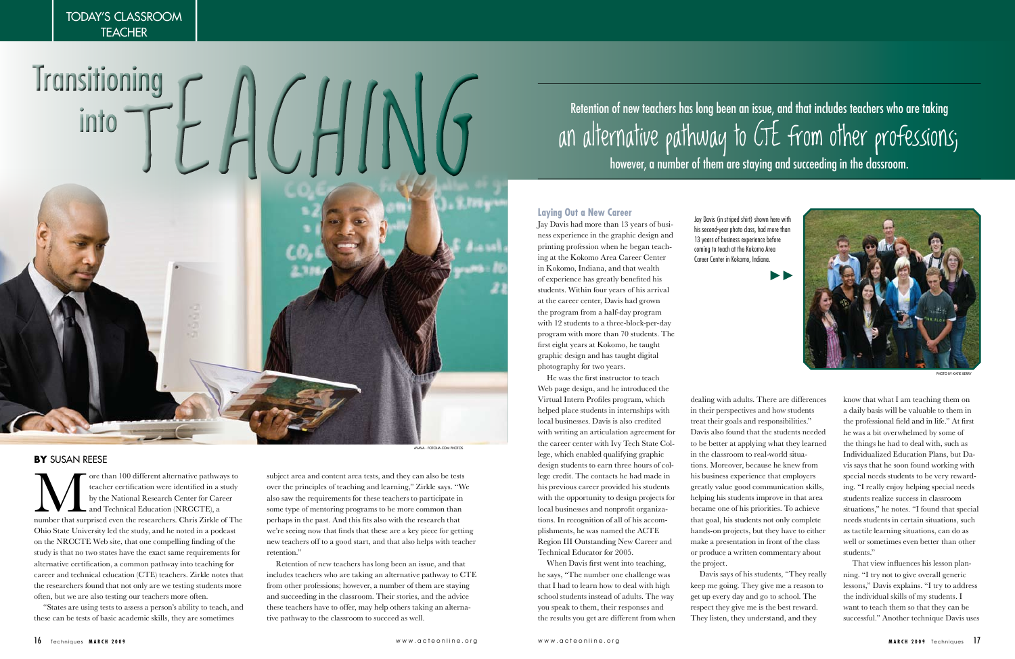ore than 100 different alternative pathways to teacher certification were identified in a study by the National Research Center for Career and Technical Education (NRCCTE), a number that surprised even the researchers. Chr teacher certification were identified in a study by the National Research Center for Career and Technical Education (NRCCTE), a Ohio State University led the study, and he noted in a podcast on the NRCCTE Web site, that one compelling finding of the study is that no two states have the exact same requirements for alternative certification, a common pathway into teaching for career and technical education (CTE) teachers. Zirkle notes that the researchers found that not only are we testing students more often, but we are also testing our teachers more often.

"States are using tests to assess a person's ability to teach, and these can be tests of basic academic skills, they are sometimes

### **BY** SUSAN REESE

subject area and content area tests, and they can also be tests over the principles of teaching and learning," Zirkle says. "We also saw the requirements for these teachers to participate in some type of mentoring programs to be more common than perhaps in the past. And this fits also with the research that we're seeing now that finds that these are a key piece for getting new teachers off to a good start, and that also helps with teacher retention."

Retention of new teachers has long been an issue, and that includes teachers who are taking an alternative pathway to CTE from other professions; however, a number of them are staying and succeeding in the classroom. Their stories, and the advice these teachers have to offer, may help others taking an alternative pathway to the classroom to succeed as well.

#### **Laying Out a New Career**

Jay Davis had more than 13 years of business experience in the graphic design and printing profession when he began teaching at the Kokomo Area Career Center in Kokomo, Indiana, and that wealth of experience has greatly benefited his students. Within four years of his arrival at the career center, Davis had grown the program from a half-day program with 12 students to a three-block-per-day program with more than 70 students. The first eight years at Kokomo, he taught graphic design and has taught digital photography for two years.

He was the first instructor to teach Web page design, and he introduced the Virtual Intern Profiles program, which helped place students in internships with local businesses. Davis is also credited with writing an articulation agreement for the career center with Ivy Tech State College, which enabled qualifying graphic design students to earn three hours of college credit. The contacts he had made in his previous career provided his students with the opportunity to design projects for local businesses and nonprofit organizations. In recognition of all of his accomplishments, he was named the ACTE Region III Outstanding New Career and Technical Educator for 2005.

TODAY'S CLASSROOM **TEACHER** 

> When Davis first went into teaching, he says, "The number one challenge was that I had to learn how to deal with high school students instead of adults. The way you speak to them, their responses and the results you get are different from when



dealing with adults. There are differences in their perspectives and how students treat their goals and responsibilities." Davis also found that the students needed to be better at applying what they learned in the classroom to real-world situations. Moreover, because he knew from his business experience that employers greatly value good communication skills, helping his students improve in that area became one of his priorities. To achieve that goal, his students not only complete hands-on projects, but they have to either make a presentation in front of the class or produce a written commentary about the project.

Davis says of his students, "They really keep me going. They give me a reason to get up every day and go to school. The respect they give me is the best reward. They listen, they understand, and they

# Retention of new teachers has long been an issue, and that includes teachers who are taking an alternative pathway to CTE from other professions; however, a number of them are staying and succeeding in the classroom.

know that what I am teaching them on a daily basis will be valuable to them in the professional field and in life." At first he was a bit overwhelmed by some of the things he had to deal with, such as Individualized Education Plans, but Davis says that he soon found working with special needs students to be very rewarding. "I really enjoy helping special needs students realize success in classroom situations," he notes. "I found that special needs students in certain situations, such as tactile learning situations, can do as well or sometimes even better than other students."

That view influences his lesson planning. "I try not to give overall generic lessons," Davis explains. "I try to address the individual skills of my students. I want to teach them so that they can be successful." Another technique Davis uses

Jay Davis (in striped shirt) shown here with his second-year photo class, had more than 13 years of business experience before coming to teach at the Kokomo Area Career Center in Kokomo, Indiana.



PHOTO BY KATIE BERRY